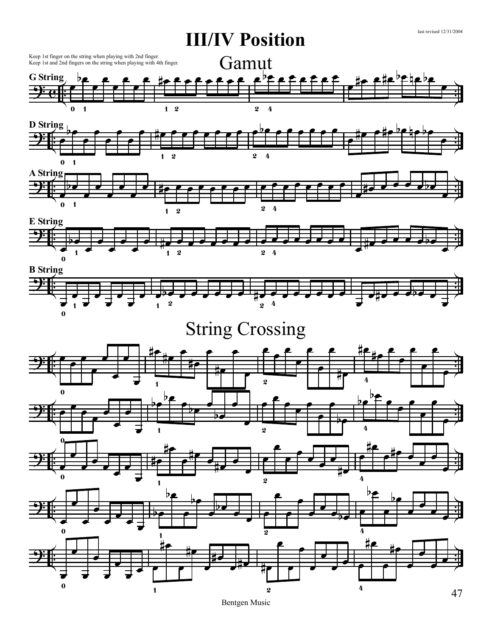

Bentgen Music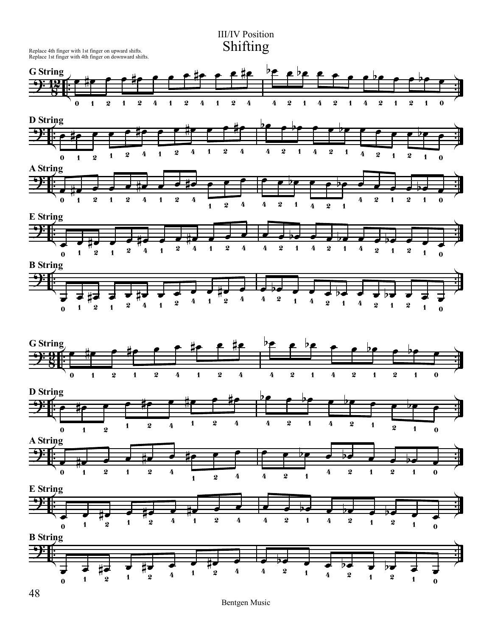III/IV Position Shifting

Replace 4th finger with 1st finger on upward shifts. Replace 1st finger with 4th finger on downward shifts.

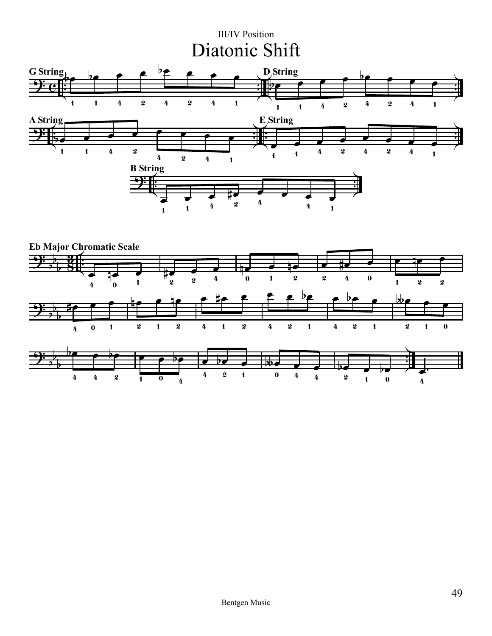## III/IV Position Diatonic Shift



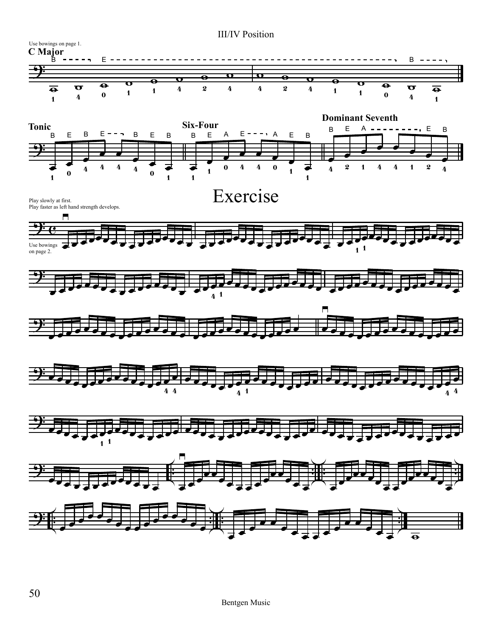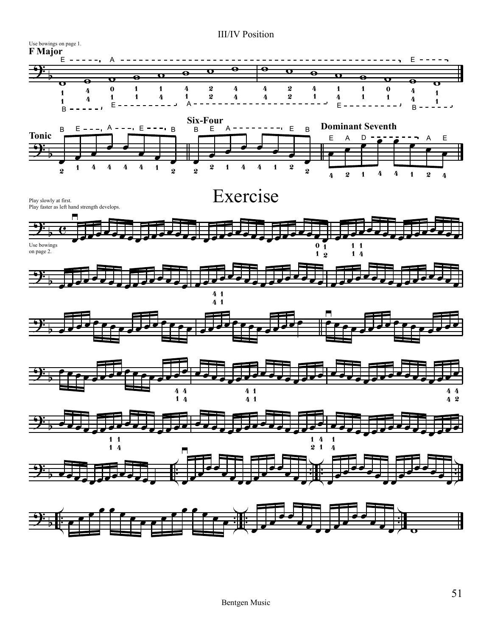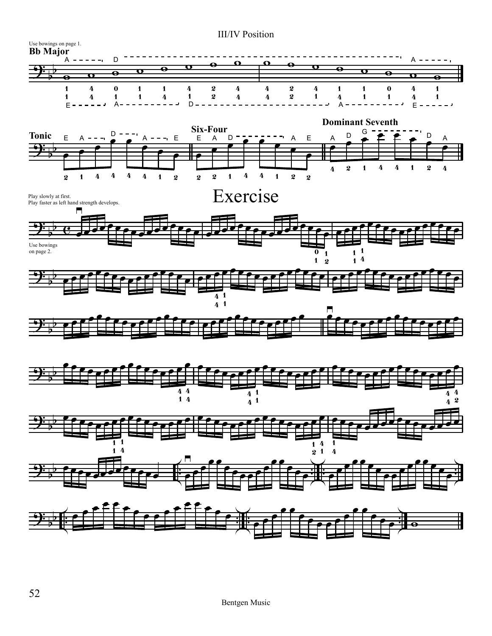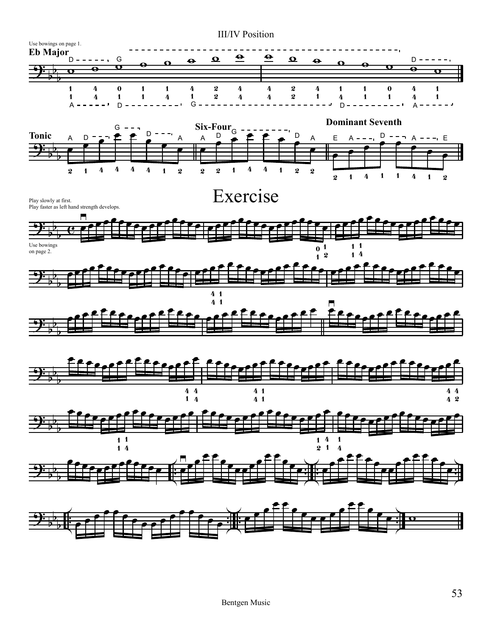